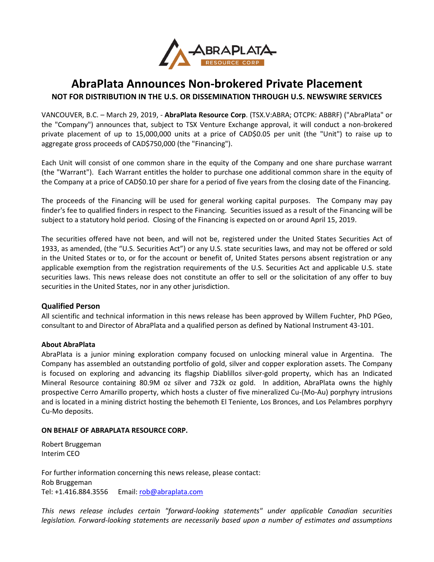

## **AbraPlata Announces Non-brokered Private Placement**

**NOT FOR DISTRIBUTION IN THE U.S. OR DISSEMINATION THROUGH U.S. NEWSWIRE SERVICES**

VANCOUVER, B.C. – March 29, 2019, - **AbraPlata Resource Corp**. (TSX.V:ABRA; OTCPK: ABBRF) ("AbraPlata" or the "Company") announces that, subject to TSX Venture Exchange approval, it will conduct a non-brokered private placement of up to 15,000,000 units at a price of CAD\$0.05 per unit (the "Unit") to raise up to aggregate gross proceeds of CAD\$750,000 (the "Financing").

Each Unit will consist of one common share in the equity of the Company and one share purchase warrant (the "Warrant"). Each Warrant entitles the holder to purchase one additional common share in the equity of the Company at a price of CAD\$0.10 per share for a period of five years from the closing date of the Financing.

The proceeds of the Financing will be used for general working capital purposes. The Company may pay finder's fee to qualified finders in respect to the Financing. Securities issued as a result of the Financing will be subject to a statutory hold period. Closing of the Financing is expected on or around April 15, 2019.

The securities offered have not been, and will not be, registered under the United States Securities Act of 1933, as amended, (the "U.S. Securities Act") or any U.S. state securities laws, and may not be offered or sold in the United States or to, or for the account or benefit of, United States persons absent registration or any applicable exemption from the registration requirements of the U.S. Securities Act and applicable U.S. state securities laws. This news release does not constitute an offer to sell or the solicitation of any offer to buy securities in the United States, nor in any other jurisdiction.

## **Qualified Person**

All scientific and technical information in this news release has been approved by Willem Fuchter, PhD PGeo, consultant to and Director of AbraPlata and a qualified person as defined by National Instrument 43-101.

## **About AbraPlata**

AbraPlata is a junior mining exploration company focused on unlocking mineral value in Argentina. The Company has assembled an outstanding portfolio of gold, silver and copper exploration assets. The Company is focused on exploring and advancing its flagship Diablillos silver-gold property, which has an Indicated Mineral Resource containing 80.9M oz silver and 732k oz gold. In addition, AbraPlata owns the highly prospective Cerro Amarillo property, which hosts a cluster of five mineralized Cu-(Mo-Au) porphyry intrusions and is located in a mining district hosting the behemoth El Teniente, Los Bronces, and Los Pelambres porphyry Cu-Mo deposits.

## **ON BEHALF OF ABRAPLATA RESOURCE CORP.**

Robert Bruggeman Interim CEO

For further information concerning this news release, please contact: Rob Bruggeman Tel: +1.416.884.3556 Email[: rob@abraplata.com](mailto:rob@abraplata.com)

*This news release includes certain "forward-looking statements" under applicable Canadian securities legislation. Forward-looking statements are necessarily based upon a number of estimates and assumptions*